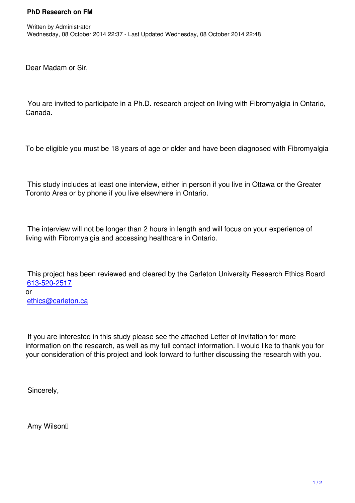Dear Madam or Sir,

 You are invited to participate in a Ph.D. research project on living with Fibromyalgia in Ontario, Canada.

To be eligible you must be 18 years of age or older and have been diagnosed with Fibromyalgia

 This study includes at least one interview, either in person if you live in Ottawa or the Greater Toronto Area or by phone if you live elsewhere in Ontario.

 The interview will not be longer than 2 hours in length and will focus on your experience of living with Fibromyalgia and accessing healthcare in Ontario.

 This project has been reviewed and cleared by the Carleton University Research Ethics Board 613-520-2517 or ethics@carleton.ca

 [If you are interested](mailto:ethics@carleton.ca) in this study please see the attached Letter of Invitation for more information on the research, as well as my full contact information. I would like to thank you for your consideration of this project and look forward to further discussing the research with you.

Sincerely,

Amy Wilson